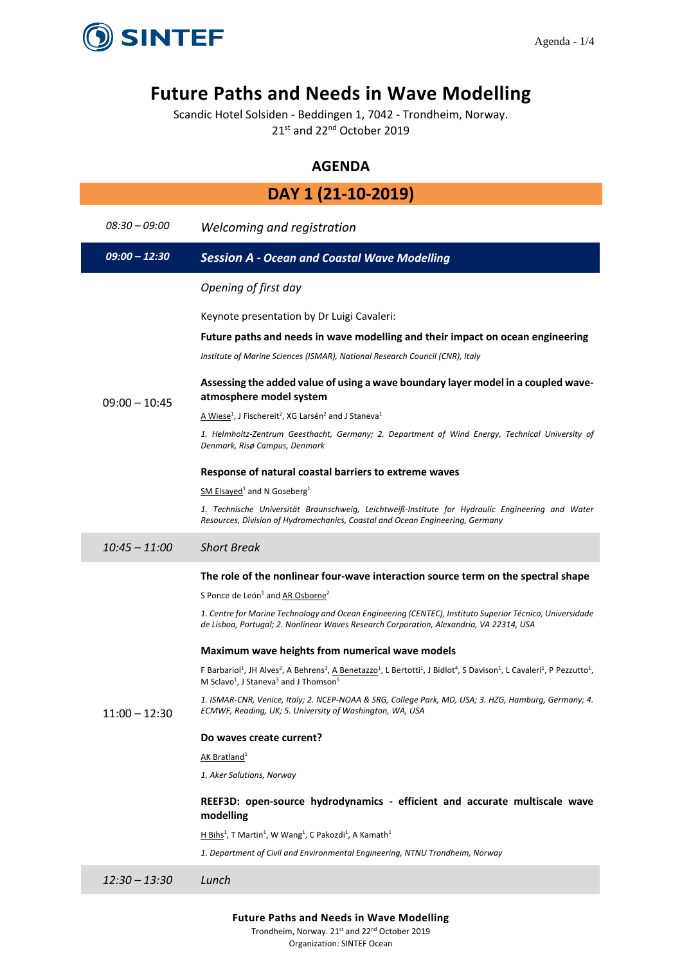

# **Future Paths and Needs in Wave Modelling**

Scandic Hotel Solsiden - Beddingen 1, 7042 - Trondheim, Norway. 21st and 22<sup>nd</sup> October 2019

# **AGENDA**

| DAY 1 (21-10-2019) |                                                                                                                                                                                                                                                                                                                    |  |
|--------------------|--------------------------------------------------------------------------------------------------------------------------------------------------------------------------------------------------------------------------------------------------------------------------------------------------------------------|--|
| 08:30 – 09:00      | Welcoming and registration                                                                                                                                                                                                                                                                                         |  |
| $09:00 - 12:30$    | <b>Session A - Ocean and Coastal Wave Modelling</b>                                                                                                                                                                                                                                                                |  |
|                    | Opening of first day                                                                                                                                                                                                                                                                                               |  |
|                    | Keynote presentation by Dr Luigi Cavaleri:                                                                                                                                                                                                                                                                         |  |
|                    | Future paths and needs in wave modelling and their impact on ocean engineering                                                                                                                                                                                                                                     |  |
|                    | Institute of Marine Sciences (ISMAR), National Research Council (CNR), Italy                                                                                                                                                                                                                                       |  |
| $09:00 - 10:45$    | Assessing the added value of using a wave boundary layer model in a coupled wave-<br>atmosphere model system                                                                                                                                                                                                       |  |
|                    | $\triangle$ Wiese <sup>1</sup> , J Fischereit <sup>2</sup> , XG Larsén <sup>2</sup> and J Staneva <sup>1</sup>                                                                                                                                                                                                     |  |
|                    | 1. Helmholtz-Zentrum Geesthacht, Germany; 2. Department of Wind Energy, Technical University of<br>Denmark, Risø Campus, Denmark                                                                                                                                                                                   |  |
|                    | Response of natural coastal barriers to extreme waves                                                                                                                                                                                                                                                              |  |
|                    | $SM$ Elsayed <sup>1</sup> and N Goseberg <sup>1</sup>                                                                                                                                                                                                                                                              |  |
|                    | 1. Technische Universität Braunschweig, Leichtweiß-Institute for Hydraulic Engineering and Water<br>Resources, Division of Hydromechanics, Coastal and Ocean Engineering, Germany                                                                                                                                  |  |
| $10:45 - 11:00$    | <b>Short Break</b>                                                                                                                                                                                                                                                                                                 |  |
|                    | The role of the nonlinear four-wave interaction source term on the spectral shape                                                                                                                                                                                                                                  |  |
|                    | S Ponce de León <sup>1</sup> and AR Osborne <sup>2</sup>                                                                                                                                                                                                                                                           |  |
|                    | 1. Centre for Marine Technology and Ocean Engineering (CENTEC), Instituto Superior Técnico, Universidade<br>de Lisboa, Portugal; 2. Nonlinear Waves Research Corporation, Alexandria, VA 22314, USA                                                                                                                |  |
|                    | Maximum wave heights from numerical wave models                                                                                                                                                                                                                                                                    |  |
|                    | F Barbariol <sup>1</sup> , JH Alves <sup>2</sup> , A Behrens <sup>3</sup> , A Benetazzo <sup>1</sup> , L Bertotti <sup>1</sup> , J Bidlot <sup>4</sup> , S Davison <sup>1</sup> , L Cavaleri <sup>1</sup> , P Pezzutto <sup>1</sup> ,<br>M Sclavo <sup>1</sup> , J Staneva <sup>3</sup> and J Thomson <sup>5</sup> |  |
| $11:00 - 12:30$    | 1. ISMAR-CNR, Venice, Italy; 2. NCEP-NOAA & SRG, College Park, MD, USA; 3. HZG, Hamburg, Germany; 4.<br>ECMWF, Reading, UK; 5. University of Washington, WA, USA                                                                                                                                                   |  |
|                    | Do waves create current?                                                                                                                                                                                                                                                                                           |  |
|                    | AK Bratland <sup>1</sup>                                                                                                                                                                                                                                                                                           |  |
|                    | 1. Aker Solutions, Norway                                                                                                                                                                                                                                                                                          |  |
|                    | REEF3D: open-source hydrodynamics - efficient and accurate multiscale wave<br>modelling                                                                                                                                                                                                                            |  |
|                    | $H Bihs1$ , T Martin <sup>1</sup> , W Wang <sup>1</sup> , C Pakozdi <sup>1</sup> , A Kamath <sup>1</sup>                                                                                                                                                                                                           |  |
|                    | 1. Department of Civil and Environmental Engineering, NTNU Trondheim, Norway                                                                                                                                                                                                                                       |  |
| $12:30 - 13:30$    | Lunch                                                                                                                                                                                                                                                                                                              |  |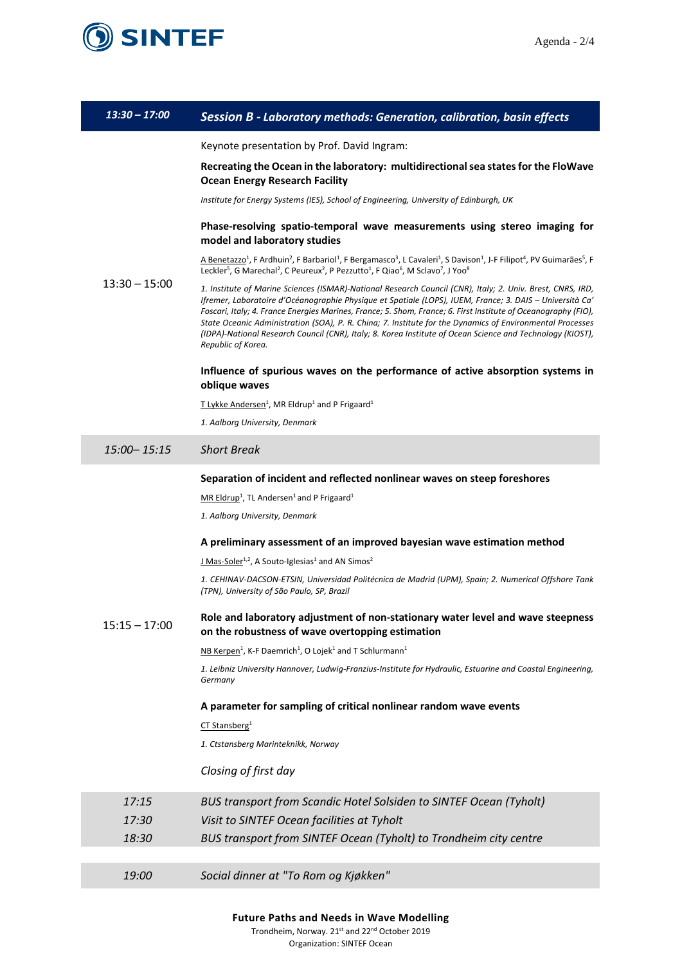



# *13:30 – 17:00 Session B - Laboratory methods: Generation, calibration, basin effects*

Keynote presentation by Prof. David Ingram:

# **Recreating the Ocean in the laboratory: multidirectional sea states for the FloWave Ocean Energy Research Facility**

*Institute for Energy Systems (IES), School of Engineering, University of Edinburgh, UK*

## **Phase-resolving spatio-temporal wave measurements using stereo imaging for model and laboratory studies**

A Benetazzo<sup>1</sup>, F Ardhuin<sup>2</sup>, F Barbariol<sup>1</sup>, F Bergamasco<sup>3</sup>, L Cavaleri<sup>1</sup>, S Davison<sup>1</sup>, J-F Filipot<sup>4</sup>, PV Guimarães<sup>5</sup>, F Leckler<sup>5</sup>, G Marechal<sup>2</sup>, C Peureux<sup>2</sup>, P Pezzutto<sup>1</sup>, F Qiao<sup>6</sup>, M Sclavo<sup>7</sup>, J Yoo<sup>8</sup>

13:30 – 15:00 *1. Institute of Marine Sciences (ISMAR)-National Research Council (CNR), Italy; 2. Univ. Brest, CNRS, IRD, Ifremer, Laboratoire d'Océanographie Physique et Spatiale (LOPS), IUEM, France; 3. DAIS – Università Ca' Foscari, Italy; 4. France Energies Marines, France; 5. Shom, France; 6. First Institute of Oceanography (FIO), State Oceanic Administration (SOA), P. R. China; 7. Institute for the Dynamics of Environmental Processes (IDPA)-National Research Council (CNR), Italy; 8. Korea Institute of Ocean Science and Technology (KIOST), Republic of Korea.*

# **Influence of spurious waves on the performance of active absorption systems in oblique waves**

T Lykke Andersen<sup>1</sup>, MR Eldrup<sup>1</sup> and P Frigaard<sup>1</sup>

*1. Aalborg University, Denmark*

# *15:00– 15:15 Short Break*

#### **Separation of incident and reflected nonlinear waves on steep foreshores**

 $MR$  Eldrup<sup>1</sup>, TL Andersen<sup>1</sup> and P Frigaard<sup>1</sup>

*1. Aalborg University, Denmark*

#### **A preliminary assessment of an improved bayesian wave estimation method**

 $J$  Mas-Soler<sup>1,2</sup>, A Souto-Iglesias<sup>1</sup> and AN Simos<sup>2</sup>

*1. CEHINAV-DACSON-ETSIN, Universidad Politécnica de Madrid (UPM), Spain; 2. Numerical Offshore Tank (TPN), University of São Paulo, SP, Brazil*

#### $15:15 - 17:00$ **Role and laboratory adjustment of non-stationary water level and wave steepness on the robustness of wave overtopping estimation**

NB Kerpen<sup>1</sup>, K-F Daemrich<sup>1</sup>, O Lojek<sup>1</sup> and T Schlurmann<sup>1</sup>

*1. Leibniz University Hannover, Ludwig-Franzius-Institute for Hydraulic, Estuarine and Coastal Engineering, Germany*

## **A parameter for sampling of critical nonlinear random wave events**

CT Stansberg<sup>1</sup>

*1. Ctstansberg Marinteknikk, Norway*

### *Closing of first day*

| 17:15 | BUS transport from Scandic Hotel Solsiden to SINTEF Ocean (Tyholt) |
|-------|--------------------------------------------------------------------|
| 17:30 | Visit to SINTEF Ocean facilities at Tyholt                         |
| 18:30 | BUS transport from SINTEF Ocean (Tyholt) to Trondheim city centre  |
|       |                                                                    |

*19:00 Social dinner at "To Rom og Kjøkken"*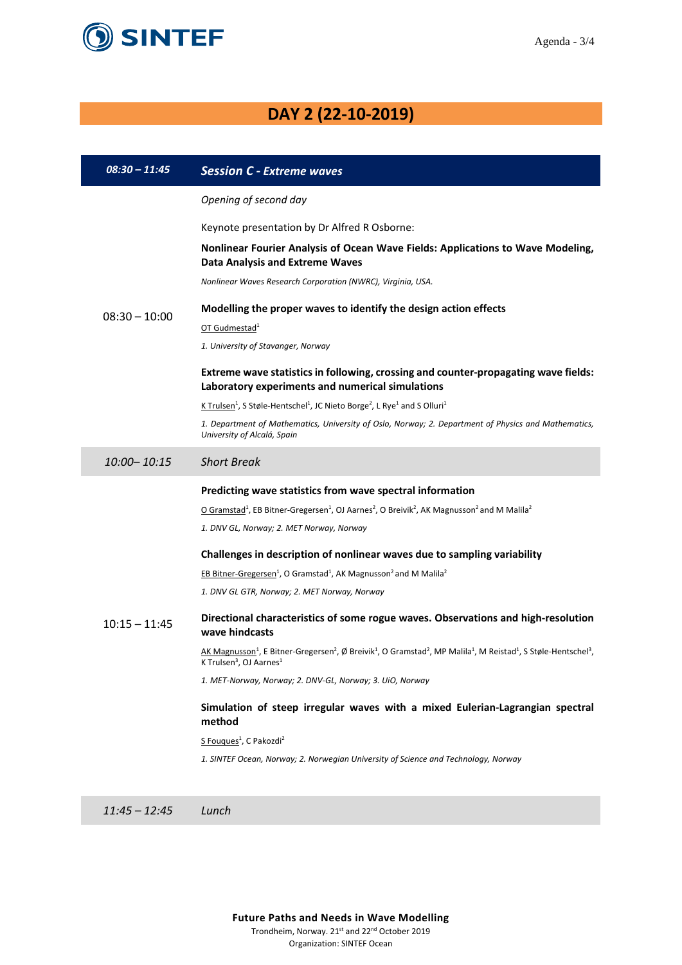

# **DAY 2 (22-10-2019)**

| $08:30 - 11:45$ | <b>Session C - Extreme waves</b>                                                                                                                                                                                                                       |
|-----------------|--------------------------------------------------------------------------------------------------------------------------------------------------------------------------------------------------------------------------------------------------------|
|                 | Opening of second day                                                                                                                                                                                                                                  |
|                 | Keynote presentation by Dr Alfred R Osborne:                                                                                                                                                                                                           |
|                 | Nonlinear Fourier Analysis of Ocean Wave Fields: Applications to Wave Modeling,<br><b>Data Analysis and Extreme Waves</b>                                                                                                                              |
|                 | Nonlinear Waves Research Corporation (NWRC), Virginia, USA.                                                                                                                                                                                            |
| $08:30 - 10:00$ | Modelling the proper waves to identify the design action effects                                                                                                                                                                                       |
|                 | OT Gudmestad <sup>1</sup><br>1. University of Stavanger, Norway                                                                                                                                                                                        |
|                 |                                                                                                                                                                                                                                                        |
|                 | Extreme wave statistics in following, crossing and counter-propagating wave fields:<br>Laboratory experiments and numerical simulations                                                                                                                |
|                 | K Trulsen <sup>1</sup> , S Støle-Hentschel <sup>1</sup> , JC Nieto Borge <sup>2</sup> , L Rye <sup>1</sup> and S Olluri <sup>1</sup>                                                                                                                   |
|                 | 1. Department of Mathematics, University of Oslo, Norway; 2. Department of Physics and Mathematics,<br>University of Alcalá, Spain                                                                                                                     |
| 10:00-10:15     | <b>Short Break</b>                                                                                                                                                                                                                                     |
|                 | Predicting wave statistics from wave spectral information                                                                                                                                                                                              |
|                 | O Gramstad <sup>1</sup> , EB Bitner-Gregersen <sup>1</sup> , OJ Aarnes <sup>2</sup> , O Breivik <sup>2</sup> , AK Magnusson <sup>2</sup> and M Malila <sup>2</sup>                                                                                     |
|                 | 1. DNV GL, Norway; 2. MET Norway, Norway                                                                                                                                                                                                               |
|                 | Challenges in description of nonlinear waves due to sampling variability                                                                                                                                                                               |
|                 | EB Bitner-Gregersen <sup>1</sup> , O Gramstad <sup>1</sup> , AK Magnusson <sup>2</sup> and M Malila <sup>2</sup>                                                                                                                                       |
|                 | 1. DNV GL GTR, Norway; 2. MET Norway, Norway                                                                                                                                                                                                           |
| $10:15 - 11:45$ | Directional characteristics of some rogue waves. Observations and high-resolution<br>wave hindcasts                                                                                                                                                    |
|                 | AK Magnusson <sup>1</sup> , E Bitner-Gregersen <sup>2</sup> , Ø Breivik <sup>1</sup> , O Gramstad <sup>2</sup> , MP Malila <sup>1</sup> , M Reistad <sup>1</sup> , S Støle-Hentschel <sup>3</sup> ,<br>K Trulsen <sup>3</sup> , OJ Aarnes <sup>1</sup> |
|                 | 1. MET-Norway, Norway; 2. DNV-GL, Norway; 3. UiO, Norway                                                                                                                                                                                               |
|                 | Simulation of steep irregular waves with a mixed Eulerian-Lagrangian spectral<br>method                                                                                                                                                                |
|                 | S Fouques <sup>1</sup> , C Pakozdi <sup>2</sup>                                                                                                                                                                                                        |
|                 | 1. SINTEF Ocean, Norway; 2. Norwegian University of Science and Technology, Norway                                                                                                                                                                     |
|                 |                                                                                                                                                                                                                                                        |
|                 |                                                                                                                                                                                                                                                        |

*11:45 – 12:45 Lunch*